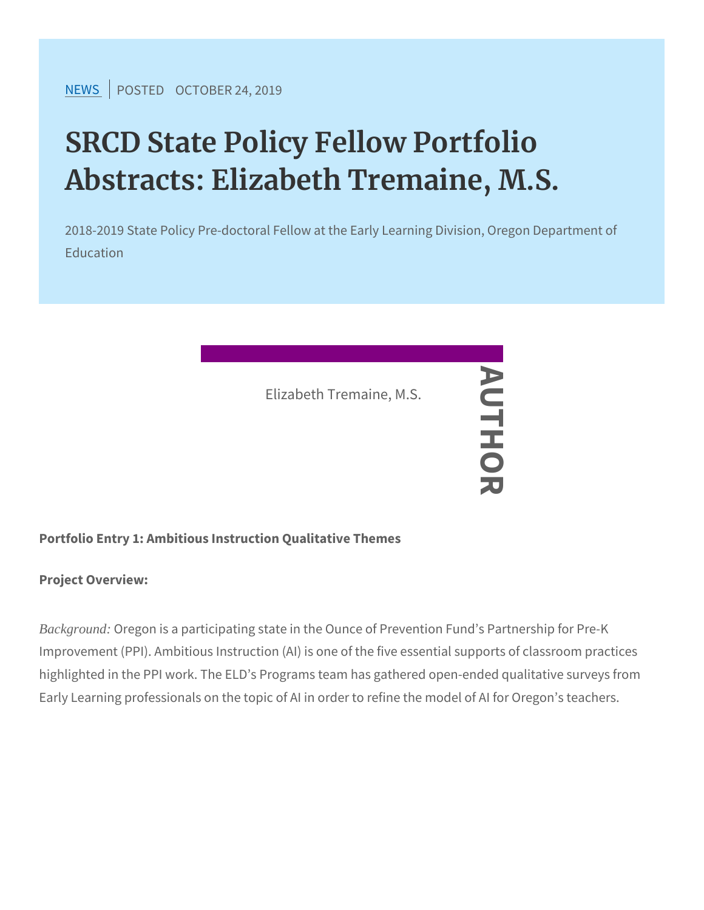[NEW](https://www.srcd.org/news)SPOSTEDCTOBER 24, 2019

# SRCD State Policy Fellow Portfo Abstracts: Elizabeth Tremaine, M

2018-2019 State Policy Pre-doctoral Fellow at the Early Learning Education

Portfolio Entry 1: Ambitious Instruction Qualitative Themes Elizabeth Tremaine, M.S.<br>
—<br>
—<br>
—<br>
—

Project Overview:

Background: Oregon is a participating state in the Ounce of Prevention Improvement (PPI). Ambitious Instruction (AI) is one of the five essential supports of classroom practices highlighted in the PPI work. The ELD s Programs team has gathered Early Learning professionals on the topic of AI in order to refine th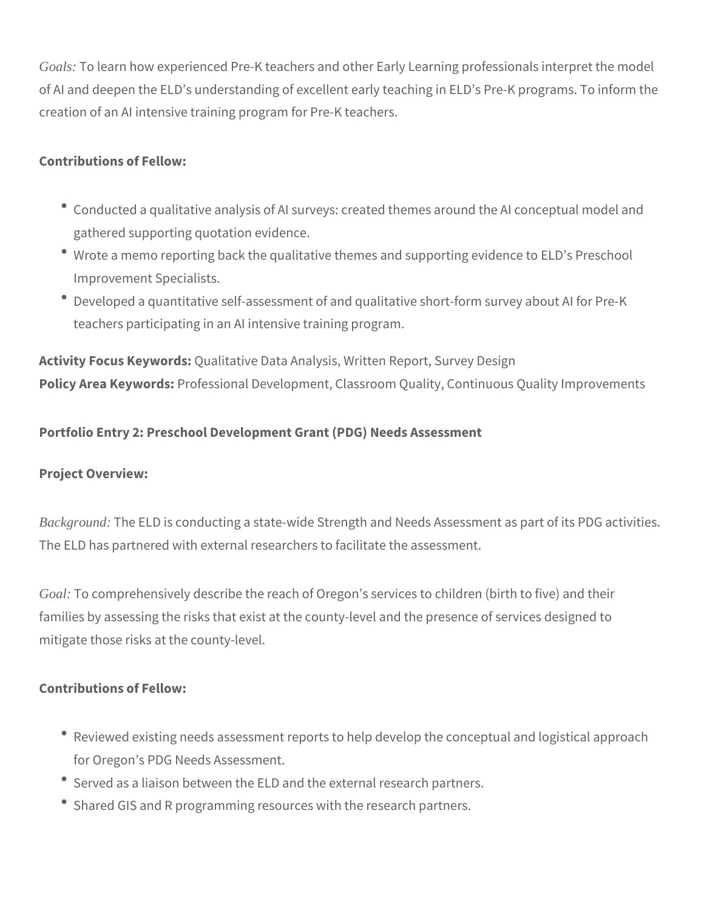*Goals:* To learn how experienced Pre-K teachers and other Early Learning professionals interpret the model of AI and deepen the ELD's understanding of excellent early teaching in ELD's Pre-K programs. To inform the creation of an AI intensive training program for Pre-K teachers.

# **Contributions of Fellow:**

- Conducted a qualitative analysis of AI surveys: created themes around the AI conceptual model and gathered supporting quotation evidence.
- Wrote a memo reporting back the qualitative themes and supporting evidence to ELD's Preschool Improvement Specialists.
- Developed a quantitative self-assessment of and qualitative short-form survey about AI for Pre-K teachers participating in an AI intensive training program.

**Activity Focus Keywords:** Qualitative Data Analysis, Written Report, Survey Design **Policy Area Keywords:** Professional Development, Classroom Quality, Continuous Quality Improvements

# **Portfolio Entry 2: Preschool Development Grant (PDG) Needs Assessment**

## **Project Overview:**

*Background:* The ELD is conducting a state-wide Strength and Needs Assessment as part of its PDG activities. The ELD has partnered with external researchers to facilitate the assessment.

*Goal:* To comprehensively describe the reach of Oregon's services to children (birth to five) and their families by assessing the risks that exist at the county-level and the presence of services designed to mitigate those risks at the county-level.

#### **Contributions of Fellow:**

- Reviewed existing needs assessment reports to help develop the conceptual and logistical approach for Oregon's PDG Needs Assessment.
- Served as a liaison between the ELD and the external research partners.
- Shared GIS and R programming resources with the research partners.